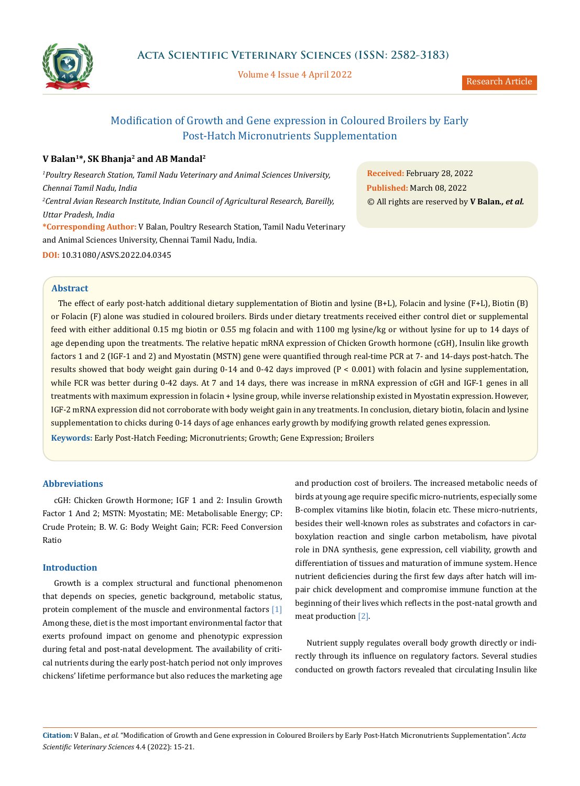

Volume 4 Issue 4 April 2022

# Modification of Growth and Gene expression in Coloured Broilers by Early Post-Hatch Micronutrients Supplementation

# **V Balan1\*, SK Bhanja2 and AB Mandal2**

*1 Poultry Research Station, Tamil Nadu Veterinary and Animal Sciences University, Chennai Tamil Nadu, India 2 Central Avian Research Institute, Indian Council of Agricultural Research, Bareilly, Uttar Pradesh, India* **\*Corresponding Author:** V Balan, Poultry Research Station, Tamil Nadu Veterinary and Animal Sciences University, Chennai Tamil Nadu, India.

**Received:** February 28, 2022 **Published:** March 08, 2022 © All rights are reserved by **V Balan***., et al.*

# **DOI:** [10.31080/ASVS.2022.04.0345](https://actascientific.com/ASVS/pdf/ASVS-04-0345.pdf)

# **Abstract**

 The effect of early post-hatch additional dietary supplementation of Biotin and lysine (B+L), Folacin and lysine (F+L), Biotin (B) or Folacin (F) alone was studied in coloured broilers. Birds under dietary treatments received either control diet or supplemental feed with either additional 0.15 mg biotin or 0.55 mg folacin and with 1100 mg lysine/kg or without lysine for up to 14 days of age depending upon the treatments. The relative hepatic mRNA expression of Chicken Growth hormone (cGH), Insulin like growth factors 1 and 2 (IGF-1 and 2) and Myostatin (MSTN) gene were quantified through real-time PCR at 7- and 14-days post-hatch. The results showed that body weight gain during 0-14 and 0-42 days improved (P < 0.001) with folacin and lysine supplementation, while FCR was better during 0-42 days. At 7 and 14 days, there was increase in mRNA expression of cGH and IGF-1 genes in all treatments with maximum expression in folacin + lysine group, while inverse relationship existed in Myostatin expression. However, IGF-2 mRNA expression did not corroborate with body weight gain in any treatments. In conclusion, dietary biotin, folacin and lysine supplementation to chicks during 0-14 days of age enhances early growth by modifying growth related genes expression.

**Keywords:** Early Post-Hatch Feeding; Micronutrients; Growth; Gene Expression; Broilers

# **Abbreviations**

cGH: Chicken Growth Hormone; IGF 1 and 2: Insulin Growth Factor 1 And 2; MSTN: Myostatin; ME: Metabolisable Energy; CP: Crude Protein; B. W. G: Body Weight Gain; FCR: Feed Conversion Ratio

### **Introduction**

Growth is a complex structural and functional phenomenon that depends on species, genetic background, metabolic status, protein complement of the muscle and environmental factors [1] Among these, diet is the most important environmental factor that exerts profound impact on genome and phenotypic expression during fetal and post-natal development. The availability of critical nutrients during the early post-hatch period not only improves chickens' lifetime performance but also reduces the marketing age and production cost of broilers. The increased metabolic needs of birds at young age require specific micro-nutrients, especially some B-complex vitamins like biotin, folacin etc. These micro-nutrients, besides their well-known roles as substrates and cofactors in carboxylation reaction and single carbon metabolism, have pivotal role in DNA synthesis, gene expression, cell viability, growth and differentiation of tissues and maturation of immune system. Hence nutrient deficiencies during the first few days after hatch will impair chick development and compromise immune function at the beginning of their lives which reflects in the post-natal growth and meat production [2].

Nutrient supply regulates overall body growth directly or indirectly through its influence on regulatory factors. Several studies conducted on growth factors revealed that circulating Insulin like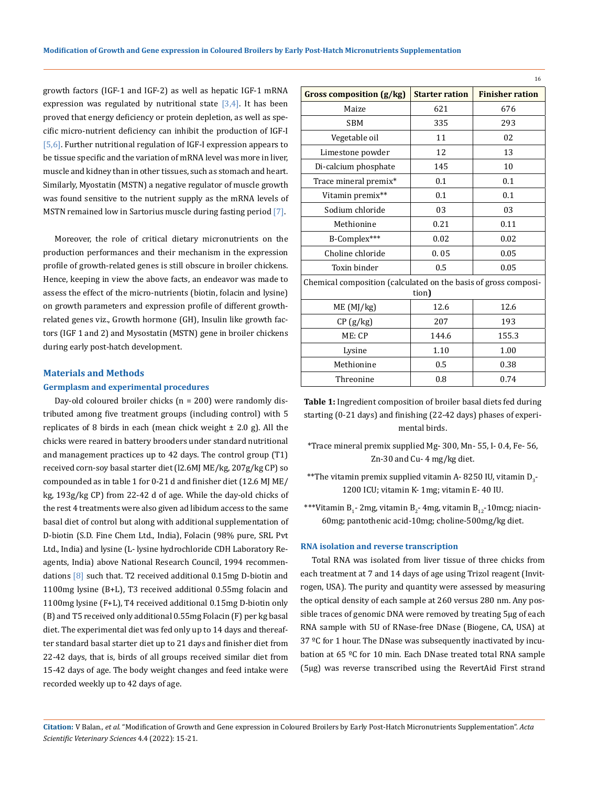growth factors (IGF-1 and IGF-2) as well as hepatic IGF-1 mRNA expression was regulated by nutritional state  $[3,4]$ . It has been proved that energy deficiency or protein depletion, as well as specific micro-nutrient deficiency can inhibit the production of IGF-I [5,6]. Further nutritional regulation of IGF-I expression appears to be tissue specific and the variation of mRNA level was more in liver, muscle and kidney than in other tissues, such as stomach and heart. Similarly, Myostatin (MSTN) a negative regulator of muscle growth was found sensitive to the nutrient supply as the mRNA levels of MSTN remained low in Sartorius muscle during fasting period [7].

Moreover, the role of critical dietary micronutrients on the production performances and their mechanism in the expression profile of growth-related genes is still obscure in broiler chickens. Hence, keeping in view the above facts, an endeavor was made to assess the effect of the micro-nutrients (biotin, folacin and lysine) on growth parameters and expression profile of different growthrelated genes viz., Growth hormone (GH), Insulin like growth factors (IGF 1 and 2) and Mysostatin (MSTN) gene in broiler chickens during early post-hatch development.

#### **Materials and Methods**

### **Germplasm and experimental procedures**

Day-old coloured broiler chicks (n = 200) were randomly distributed among five treatment groups (including control) with 5 replicates of 8 birds in each (mean chick weight  $\pm$  2.0 g). All the chicks were reared in battery brooders under standard nutritional and management practices up to 42 days. The control group (T1) received corn-soy basal starter diet (l2.6MJ ME/kg, 207g/kg CP) so compounded as in table 1 for 0-21 d and finisher diet (12.6 MJ ME/ kg, 193g/kg CP) from 22-42 d of age. While the day-old chicks of the rest 4 treatments were also given ad libidum access to the same basal diet of control but along with additional supplementation of D-biotin (S.D. Fine Chem Ltd., India), Folacin (98% pure, SRL Pvt Ltd., India) and lysine (L- lysine hydrochloride CDH Laboratory Reagents, India) above National Research Council, 1994 recommendations [8] such that. T2 received additional 0.15mg D-biotin and 1100mg lysine (B+L), T3 received additional 0.55mg folacin and 1100mg lysine (F+L), T4 received additional 0.15mg D-biotin only (B) and T5 received only additional 0.55mg Folacin (F) per kg basal diet. The experimental diet was fed only up to 14 days and thereafter standard basal starter diet up to 21 days and finisher diet from 22-42 days, that is, birds of all groups received similar diet from 15-42 days of age. The body weight changes and feed intake were recorded weekly up to 42 days of age.

|                                                                          |                       | 16                     |  |  |  |  |  |
|--------------------------------------------------------------------------|-----------------------|------------------------|--|--|--|--|--|
| <b>Gross composition (g/kg)</b>                                          | <b>Starter ration</b> | <b>Finisher ration</b> |  |  |  |  |  |
| Maize                                                                    | 621                   | 676                    |  |  |  |  |  |
| SBM                                                                      | 335                   | 293                    |  |  |  |  |  |
| Vegetable oil                                                            | 11                    | 02                     |  |  |  |  |  |
| Limestone powder                                                         | 12                    | 13                     |  |  |  |  |  |
| Di-calcium phosphate                                                     | 145                   | 10                     |  |  |  |  |  |
| Trace mineral premix*                                                    | 0.1                   | 0.1                    |  |  |  |  |  |
| Vitamin premix**                                                         | 0.1                   | 0.1                    |  |  |  |  |  |
| Sodium chloride                                                          | 03                    | 03                     |  |  |  |  |  |
| Methionine                                                               | 0.21                  | 0.11                   |  |  |  |  |  |
| B-Complex***                                                             | 0.02                  | 0.02                   |  |  |  |  |  |
| Choline chloride                                                         | 0.05                  | 0.05                   |  |  |  |  |  |
| Toxin binder                                                             | 0.5                   | 0.05                   |  |  |  |  |  |
| Chemical composition (calculated on the basis of gross composi-<br>tion) |                       |                        |  |  |  |  |  |
| ME (MJ/kg)                                                               | 12.6                  | 12.6                   |  |  |  |  |  |
| CP(g/kg)                                                                 | 207                   | 193                    |  |  |  |  |  |
| ME: CP                                                                   | 144.6                 | 155.3                  |  |  |  |  |  |
| Lysine                                                                   | 1.10                  | 1.00                   |  |  |  |  |  |
| Methionine                                                               | 0.5                   | 0.38                   |  |  |  |  |  |
| Threonine                                                                | 0.8                   | 0.74                   |  |  |  |  |  |

**Table 1:** Ingredient composition of broiler basal diets fed during starting (0-21 days) and finishing (22-42 days) phases of experimental birds.

\*Trace mineral premix supplied Mg- 300, Mn- 55, I- 0.4, Fe- 56, Zn-30 and Cu- 4 mg/kg diet.

- $\mathrm{^{**}}$ The vitamin premix supplied vitamin A- 8250 IU, vitamin D $_3$ -1200 ICU; vitamin K- 1mg; vitamin E- 40 IU.
- \*\*\*Vitamin B<sub>1</sub>- 2mg, vitamin B<sub>2</sub>- 4mg, vitamin B<sub>12</sub>-10mcg; niacin-60mg; pantothenic acid-10mg; choline-500mg/kg diet.

#### **RNA isolation and reverse transcription**

Total RNA was isolated from liver tissue of three chicks from each treatment at 7 and 14 days of age using Trizol reagent (Invitrogen, USA). The purity and quantity were assessed by measuring the optical density of each sample at 260 versus 280 nm. Any possible traces of genomic DNA were removed by treating 5μg of each RNA sample with 5U of RNase-free DNase (Biogene, CA, USA) at 37 ºC for 1 hour. The DNase was subsequently inactivated by incubation at 65 ºC for 10 min. Each DNase treated total RNA sample (5µg) was reverse transcribed using the RevertAid First strand

## **Citation:** V Balan*., et al.* "Modification of Growth and Gene expression in Coloured Broilers by Early Post-Hatch Micronutrients Supplementation". *Acta Scientific Veterinary Sciences* 4.4 (2022): 15-21.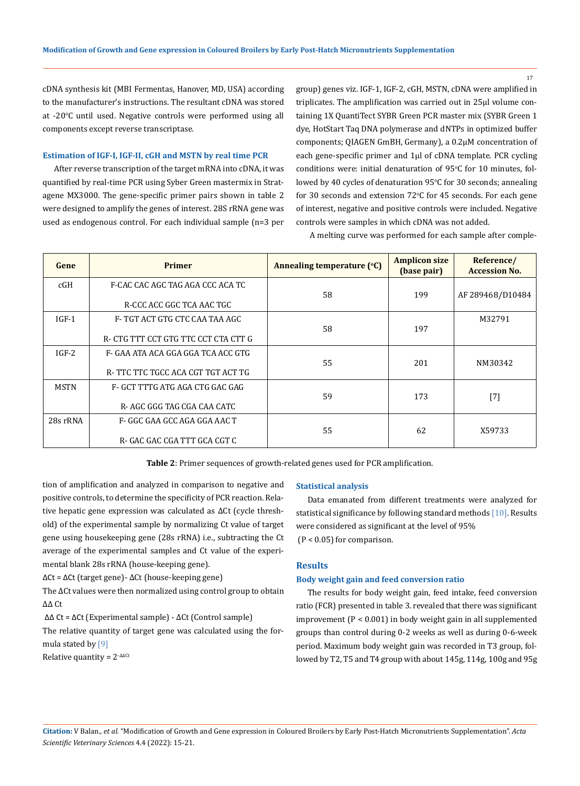17

cDNA synthesis kit (MBI Fermentas, Hanover, MD, USA) according to the manufacturer's instructions. The resultant cDNA was stored at -20°C until used. Negative controls were performed using all components except reverse transcriptase.

#### **Estimation of IGF-I, IGF-II, cGH and MSTN by real time PCR**

After reverse transcription of the target mRNA into cDNA, it was quantified by real-time PCR using Syber Green mastermix in Stratagene MX3000. The gene-specific primer pairs shown in table 2 were designed to amplify the genes of interest. 28S rRNA gene was used as endogenous control. For each individual sample (n=3 per

group) genes viz. IGF-1, IGF-2, cGH, MSTN, cDNA were amplified in triplicates. The amplification was carried out in 25µl volume containing 1X QuantiTect SYBR Green PCR master mix (SYBR Green 1 dye, HotStart Taq DNA polymerase and dNTPs in optimized buffer components; QIAGEN GmBH, Germany), a 0.2μM concentration of each gene-specific primer and 1μl of cDNA template. PCR cycling conditions were: initial denaturation of  $95^{\circ}$ C for 10 minutes, followed by 40 cycles of denaturation 95°C for 30 seconds; annealing for 30 seconds and extension 72°C for 45 seconds. For each gene of interest, negative and positive controls were included. Negative controls were samples in which cDNA was not added.

A melting curve was performed for each sample after comple-

| Gene        | <b>Primer</b>                                                            | Annealing temperature (°C) | <b>Amplicon size</b><br>(base pair) | Reference/<br><b>Accession No.</b> |  |
|-------------|--------------------------------------------------------------------------|----------------------------|-------------------------------------|------------------------------------|--|
| cGH         | F-CAC CAC AGC TAG AGA CCC ACA TC<br>R-CCC ACC GGC TCA AAC TGC            | 58                         | 199                                 | AF 289468/D10484                   |  |
| $IGF-1$     | F- TGT ACT GTG CTC CAA TAA AGC<br>R- CTG TTT CCT GTG TTC CCT CTA CTT G   | 58                         | 197                                 | M32791                             |  |
| $IGF-2$     | F- GAA ATA ACA GGA GGA TCA ACC GTG<br>R- TTC TTC TGCC ACA CGT TGT ACT TG | 55                         | 201                                 | NM30342                            |  |
| <b>MSTN</b> | F- GCT TTTG ATG AGA CTG GAC GAG<br>R- AGC GGG TAG CGA CAA CATC           | 59                         | 173                                 | $[7]$                              |  |
| 28s rRNA    | F- GGC GAA GCC AGA GGA AAC T<br>R- GAC GAC CGA TTT GCA CGT C             | 55                         | 62                                  | X59733                             |  |

**Table 2**: Primer sequences of growth-related genes used for PCR amplification.

tion of amplification and analyzed in comparison to negative and positive controls, to determine the specificity of PCR reaction. Relative hepatic gene expression was calculated as ∆Ct (cycle threshold) of the experimental sample by normalizing Ct value of target gene using housekeeping gene (28s rRNA) i.e., subtracting the Ct average of the experimental samples and Ct value of the experimental blank 28s rRNA (house-keeping gene).

ΔCt = ΔCt (target gene)- ΔCt (house-keeping gene)

The ∆Ct values were then normalized using control group to obtain ΔΔ Ct

ΔΔ Ct = ΔCt (Experimental sample) - ΔCt (Control sample)

The relative quantity of target gene was calculated using the formula stated by [9]

Relative quantity =  $2^{-\Delta\Delta Ct}$ 

#### **Statistical analysis**

Data emanated from different treatments were analyzed for statistical significance by following standard methods [10]. Results were considered as significant at the level of 95%  $(P < 0.05)$  for comparison.

### **Results**

## **Body weight gain and feed conversion ratio**

The results for body weight gain, feed intake, feed conversion ratio (FCR) presented in table 3. revealed that there was significant improvement (P < 0.001) in body weight gain in all supplemented groups than control during 0-2 weeks as well as during 0-6-week period. Maximum body weight gain was recorded in T3 group, followed by T2, T5 and T4 group with about 145g, 114g, 100g and 95g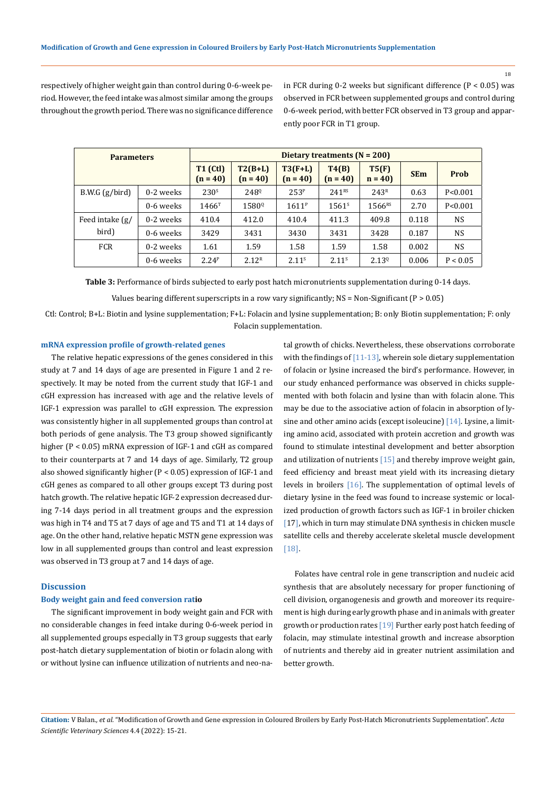18

respectively of higher weight gain than control during 0-6-week period. However, the feed intake was almost similar among the groups throughout the growth period. There was no significance difference in FCR during 0-2 weeks but significant difference  $(P < 0.05)$  was observed in FCR between supplemented groups and control during 0-6-week period, with better FCR observed in T3 group and apparently poor FCR in T1 group.

| <b>Parameters</b>                               |           | Dietary treatments $(N = 200)$ |                         |                         |                     |                   |            |           |
|-------------------------------------------------|-----------|--------------------------------|-------------------------|-------------------------|---------------------|-------------------|------------|-----------|
|                                                 |           | <b>T1 (Ctl)</b><br>$(n = 40)$  | $T2(B+L)$<br>$(n = 40)$ | $T3(F+L)$<br>$(n = 40)$ | T4(B)<br>$(n = 40)$ | T5(F)<br>$n = 40$ | <b>SEm</b> | Prob      |
| B.W.G(g/bird)                                   | 0-2 weeks | 230 <sup>s</sup>               | 248 <sup>Q</sup>        | 253 <sup>P</sup>        | 241 <sup>RS</sup>   | 243 <sup>R</sup>  | 0.63       | P < 0.001 |
|                                                 | 0-6 weeks | $1466^T$                       | 1580 <sup>Q</sup>       | $1611^P$                | 1561 <sup>s</sup>   | 1566RS            | 2.70       | P < 0.001 |
| Feed intake $\left(\frac{g}{g}\right)$<br>bird) | 0-2 weeks | 410.4                          | 412.0                   | 410.4                   | 411.3               | 409.8             | 0.118      | NS.       |
|                                                 | 0-6 weeks | 3429                           | 3431                    | 3430                    | 3431                | 3428              | 0.187      | NS.       |
| <b>FCR</b>                                      | 0-2 weeks | 1.61                           | 1.59                    | 1.58                    | 1.59                | 1.58              | 0.002      | NS.       |
|                                                 | 0-6 weeks | 2.24 <sup>P</sup>              | 2.12 <sup>R</sup>       | 2.11 <sup>s</sup>       | 2.11 <sup>s</sup>   | $2.13^{Q}$        | 0.006      | P < 0.05  |

**Table 3:** Performance of birds subjected to early post hatch micronutrients supplementation during 0-14 days.

Values bearing different superscripts in a row vary significantly;  $NS = Non-Significant (P > 0.05)$ 

Ctl: Control; B+L: Biotin and lysine supplementation; F+L: Folacin and lysine supplementation; B: only Biotin supplementation; F: only Folacin supplementation.

#### **mRNA expression profile of growth-related genes**

The relative hepatic expressions of the genes considered in this study at 7 and 14 days of age are presented in Figure 1 and 2 respectively. It may be noted from the current study that IGF-1 and cGH expression has increased with age and the relative levels of IGF-1 expression was parallel to cGH expression. The expression was consistently higher in all supplemented groups than control at both periods of gene analysis. The T3 group showed significantly higher (P < 0.05) mRNA expression of IGF-1 and cGH as compared to their counterparts at 7 and 14 days of age. Similarly, T2 group also showed significantly higher (P < 0.05) expression of IGF-1 and cGH genes as compared to all other groups except T3 during post hatch growth. The relative hepatic IGF-2 expression decreased during 7-14 days period in all treatment groups and the expression was high in T4 and T5 at 7 days of age and T5 and T1 at 14 days of age. On the other hand, relative hepatic MSTN gene expression was low in all supplemented groups than control and least expression was observed in T3 group at 7 and 14 days of age.

#### **Discussion**

### **Body weight gain and feed conversion ratio**

The significant improvement in body weight gain and FCR with no considerable changes in feed intake during 0-6-week period in all supplemented groups especially in T3 group suggests that early post-hatch dietary supplementation of biotin or folacin along with or without lysine can influence utilization of nutrients and neo-natal growth of chicks. Nevertheless, these observations corroborate with the findings of [11-13], wherein sole dietary supplementation of folacin or lysine increased the bird's performance. However, in our study enhanced performance was observed in chicks supplemented with both folacin and lysine than with folacin alone. This may be due to the associative action of folacin in absorption of lysine and other amino acids (except isoleucine) [14]. Lysine, a limiting amino acid, associated with protein accretion and growth was found to stimulate intestinal development and better absorption and utilization of nutrients [15] and thereby improve weight gain, feed efficiency and breast meat yield with its increasing dietary levels in broilers [16]. The supplementation of optimal levels of dietary lysine in the feed was found to increase systemic or localized production of growth factors such as IGF-1 in broiler chicken [17], which in turn may stimulate DNA synthesis in chicken muscle satellite cells and thereby accelerate skeletal muscle development [18].

Folates have central role in gene transcription and nucleic acid synthesis that are absolutely necessary for proper functioning of cell division, organogenesis and growth and moreover its requirement is high during early growth phase and in animals with greater growth or production rates [19] Further early post hatch feeding of folacin, may stimulate intestinal growth and increase absorption of nutrients and thereby aid in greater nutrient assimilation and better growth.

**Citation:** V Balan*., et al.* "Modification of Growth and Gene expression in Coloured Broilers by Early Post-Hatch Micronutrients Supplementation". *Acta Scientific Veterinary Sciences* 4.4 (2022): 15-21.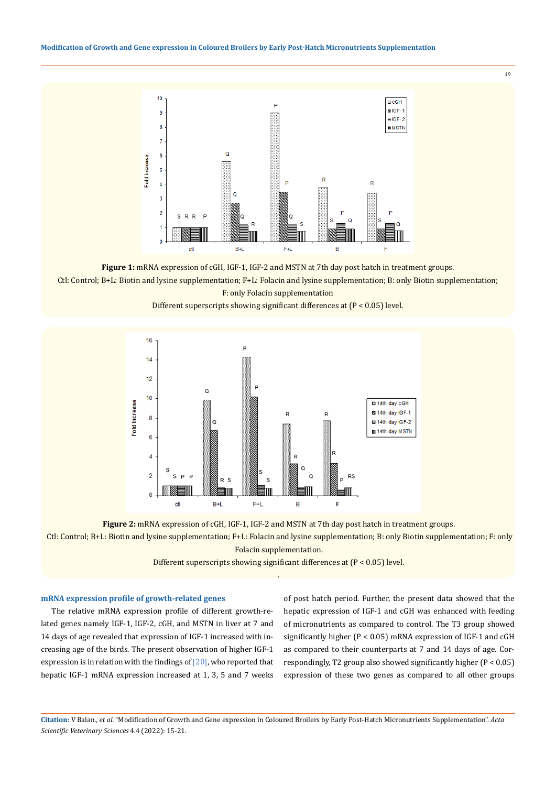

**Figure 1:** mRNA expression of cGH, IGF-1, IGF-2 and MSTN at 7th day post hatch in treatment groups. Ctl: Control; B+L: Biotin and lysine supplementation; F+L: Folacin and lysine supplementation; B: only Biotin supplementation; F: only Folacin supplementation

Different superscripts showing significant differences at (P < 0.05) level.





 Ctl: Control; B+L: Biotin and lysine supplementation; F+L: Folacin and lysine supplementation; B: only Biotin supplementation; F: only Folacin supplementation.

> Different superscripts showing significant differences at (P < 0.05) level. .

# **mRNA expression profile of growth-related genes**

The relative mRNA expression profile of different growth-related genes namely IGF-1, IGF-2, cGH, and MSTN in liver at 7 and 14 days of age revealed that expression of IGF-1 increased with increasing age of the birds. The present observation of higher IGF-1 expression is in relation with the findings of  $[20]$ , who reported that hepatic IGF-1 mRNA expression increased at 1, 3, 5 and 7 weeks of post hatch period. Further, the present data showed that the hepatic expression of IGF-1 and cGH was enhanced with feeding of micronutrients as compared to control. The T3 group showed significantly higher (P < 0.05) mRNA expression of IGF-1 and cGH as compared to their counterparts at 7 and 14 days of age. Correspondingly, T2 group also showed significantly higher (P < 0.05) expression of these two genes as compared to all other groups

**Citation:** V Balan*., et al.* "Modification of Growth and Gene expression in Coloured Broilers by Early Post-Hatch Micronutrients Supplementation". *Acta Scientific Veterinary Sciences* 4.4 (2022): 15-21.

19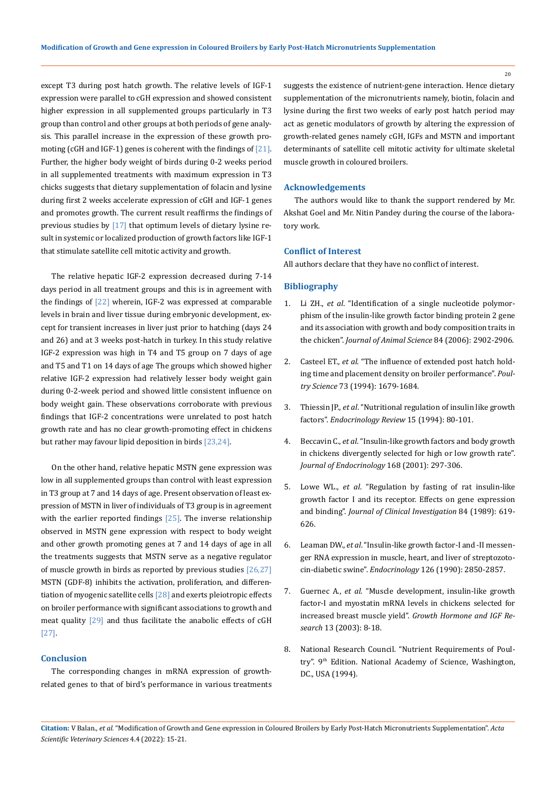except T3 during post hatch growth. The relative levels of IGF-1 expression were parallel to cGH expression and showed consistent higher expression in all supplemented groups particularly in T3 group than control and other groups at both periods of gene analysis. This parallel increase in the expression of these growth promoting (cGH and IGF-1) genes is coherent with the findings of [21]. Further, the higher body weight of birds during 0-2 weeks period in all supplemented treatments with maximum expression in T3 chicks suggests that dietary supplementation of folacin and lysine during first 2 weeks accelerate expression of cGH and IGF-1 genes and promotes growth. The current result reaffirms the findings of previous studies by [17] that optimum levels of dietary lysine result in systemic or localized production of growth factors like IGF-1 that stimulate satellite cell mitotic activity and growth.

The relative hepatic IGF-2 expression decreased during 7-14 days period in all treatment groups and this is in agreement with the findings of [22] wherein, IGF-2 was expressed at comparable levels in brain and liver tissue during embryonic development, except for transient increases in liver just prior to hatching (days 24 and 26) and at 3 weeks post-hatch in turkey. In this study relative IGF-2 expression was high in T4 and T5 group on 7 days of age and T5 and T1 on 14 days of age The groups which showed higher relative IGF-2 expression had relatively lesser body weight gain during 0-2-week period and showed little consistent influence on body weight gain. These observations corroborate with previous findings that IGF-2 concentrations were unrelated to post hatch growth rate and has no clear growth-promoting effect in chickens but rather may favour lipid deposition in birds [23,24].

On the other hand, relative hepatic MSTN gene expression was low in all supplemented groups than control with least expression in T3 group at 7 and 14 days of age. Present observation of least expression of MSTN in liver of individuals of T3 group is in agreement with the earlier reported findings [25]. The inverse relationship observed in MSTN gene expression with respect to body weight and other growth promoting genes at 7 and 14 days of age in all the treatments suggests that MSTN serve as a negative regulator of muscle growth in birds as reported by previous studies [26,27] MSTN (GDF-8) inhibits the activation, proliferation, and differentiation of myogenic satellite cells [28] and exerts pleiotropic effects on broiler performance with significant associations to growth and meat quality [29] and thus facilitate the anabolic effects of cGH [27].

#### **Conclusion**

The corresponding changes in mRNA expression of growthrelated genes to that of bird's performance in various treatments suggests the existence of nutrient-gene interaction. Hence dietary supplementation of the micronutrients namely, biotin, folacin and lysine during the first two weeks of early post hatch period may act as genetic modulators of growth by altering the expression of growth-related genes namely cGH, IGFs and MSTN and important determinants of satellite cell mitotic activity for ultimate skeletal muscle growth in coloured broilers.

#### **Acknowledgements**

The authors would like to thank the support rendered by Mr. Akshat Goel and Mr. Nitin Pandey during the course of the laboratory work.

# **Conflict of Interest**

All authors declare that they have no conflict of interest.

#### **Bibliography**

- 1. Li ZH., *et al*[. "Identification of a single nucleotide polymor](https://pubmed.ncbi.nlm.nih.gov/17032782/)[phism of the insulin-like growth factor binding protein 2 gene](https://pubmed.ncbi.nlm.nih.gov/17032782/) [and its association with growth and body composition traits in](https://pubmed.ncbi.nlm.nih.gov/17032782/) the chicken". *[Journal of Animal Science](https://pubmed.ncbi.nlm.nih.gov/17032782/)* 84 (2006): 2902-2906.
- 2. Casteel ET., *et al*[. "The influence of extended post hatch hold](https://www.researchgate.net/publication/15335835_The_Influence_of_Extended_Posthatch_Holding_Time_and_Placement_Density_on_Broiler_Performance)[ing time and placement density on broiler performance".](https://www.researchgate.net/publication/15335835_The_Influence_of_Extended_Posthatch_Holding_Time_and_Placement_Density_on_Broiler_Performance) *Poultry Science* [73 \(1994\): 1679-1684.](https://www.researchgate.net/publication/15335835_The_Influence_of_Extended_Posthatch_Holding_Time_and_Placement_Density_on_Broiler_Performance)
- 3. Thiessin JP., *et al*[. "Nutritional regulation of insulin like growth](https://pubmed.ncbi.nlm.nih.gov/8156941/) factors". *[Endocrinology Review](https://pubmed.ncbi.nlm.nih.gov/8156941/)* 15 (1994): 80-101.
- 4. Beccavin C., *et al*[. "Insulin-like growth factors and body growth](https://pubmed.ncbi.nlm.nih.gov/11182767/) [in chickens divergently selected for high or low growth rate".](https://pubmed.ncbi.nlm.nih.gov/11182767/) *[Journal of Endocrinology](https://pubmed.ncbi.nlm.nih.gov/11182767/)* 168 (2001): 297-306.
- 5. Lowe WL., *et al*[. "Regulation by fasting of rat insulin-like](https://pubmed.ncbi.nlm.nih.gov/2547834/) [growth factor I and its receptor. Effects on gene expression](https://pubmed.ncbi.nlm.nih.gov/2547834/) and binding". *[Journal of Clinical Investigation](https://pubmed.ncbi.nlm.nih.gov/2547834/)* 84 (1989): 619- [626.](https://pubmed.ncbi.nlm.nih.gov/2547834/)
- 6. Leaman DW., *et al*. "Insulin-like growth factor-I and -II messenger RNA expression in muscle, heart, and liver of streptozotocin-diabetic swine". *Endocrinology* 126 (1990): 2850-2857.
- 7. Guernec A., *et al*[. "Muscle development, insulin-like growth](https://pubmed.ncbi.nlm.nih.gov/12550077/) [factor-I and myostatin mRNA levels in chickens selected for](https://pubmed.ncbi.nlm.nih.gov/12550077/) increased breast muscle yield". *[Growth Hormone and IGF Re](https://pubmed.ncbi.nlm.nih.gov/12550077/)search* [13 \(2003\): 8-18.](https://pubmed.ncbi.nlm.nih.gov/12550077/)
- 8. National Research Council. "Nutrient Requirements of Poultry". 9<sup>th</sup> Edition. National Academy of Science, Washington, DC., USA (1994).

20

**Citation:** V Balan*., et al.* "Modification of Growth and Gene expression in Coloured Broilers by Early Post-Hatch Micronutrients Supplementation". *Acta Scientific Veterinary Sciences* 4.4 (2022): 15-21.